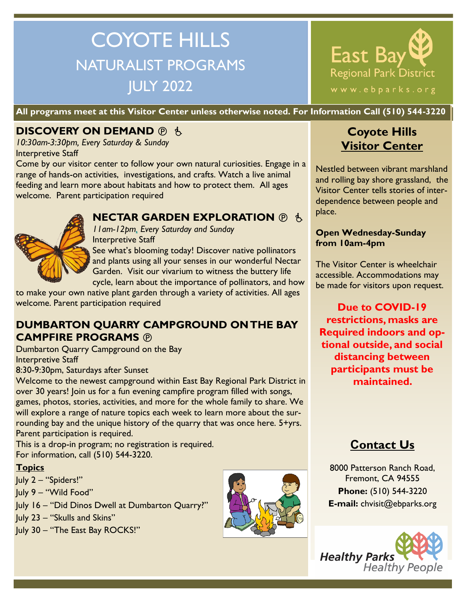# COYOTE HILLS NATURALIST PROGRAMS JULY 2022



**All programs meet at this Visitor Center unless otherwise noted. For Information Call (510) 544-3220**

## **DISCOVERY ON DEMAND <b>O** is

*10:30am-3:30pm, Every Saturday & Sunday* Interpretive Staff

Come by our visitor center to follow your own natural curiosities. Engage in a range of hands-on activities, investigations, and crafts. Watch a live animal feeding and learn more about habitats and how to protect them. All ages welcome. Parent participation required



### **NECTAR GARDEN EXPLORATION**  $\oplus$  **\$.**

*11am-12pm, Every Saturday and Sunday*  Interpretive Staff

See what's blooming today! Discover native pollinators and plants using all your senses in our wonderful Nectar Garden. Visit our vivarium to witness the buttery life cycle, learn about the importance of pollinators, and how

to make your own native plant garden through a variety of activities. All ages welcome. Parent participation required

## **DUMBARTON QUARRY CAMPGROUND ON THE BAY CAMPFIRE PROGRAMS**

Dumbarton Quarry Campground on the Bay Interpretive Staff

8:30-9:30pm, Saturdays after Sunset

Welcome to the newest campground within East Bay Regional Park District in over 30 years! Join us for a fun evening campfire program filled with songs, games, photos, stories, activities, and more for the whole family to share. We will explore a range of nature topics each week to learn more about the surrounding bay and the unique history of the quarry that was once here. 5+yrs. Parent participation is required.  

This is a drop-in program; no registration is required. For information, call (510) 544-3220.

### **Topics**

July 2 – "Spiders!"

July 9 – "Wild Food"

July 16 – "Did Dinos Dwell at Dumbarton Quarry?"

July 23 – "Skulls and Skins"

July 30 – "The East Bay ROCKS!"



## **Coyote Hills Visitor Center**

Nestled between vibrant marshland and rolling bay shore grassland, the Visitor Center tells stories of interdependence between people and place.

#### **Open Wednesday-Sunday from 10am-4pm**

The Visitor Center is wheelchair accessible. Accommodations may be made for visitors upon request.

**Due to COVID-19 restrictions, masks are Required indoors and optional outside, and social distancing between participants must be maintained.** 

# **Contact Us**

8000 Patterson Ranch Road, Fremont, CA 94555 **Phone:** (510) 544-3220 **E-mail:** chvisit@ebparks.org